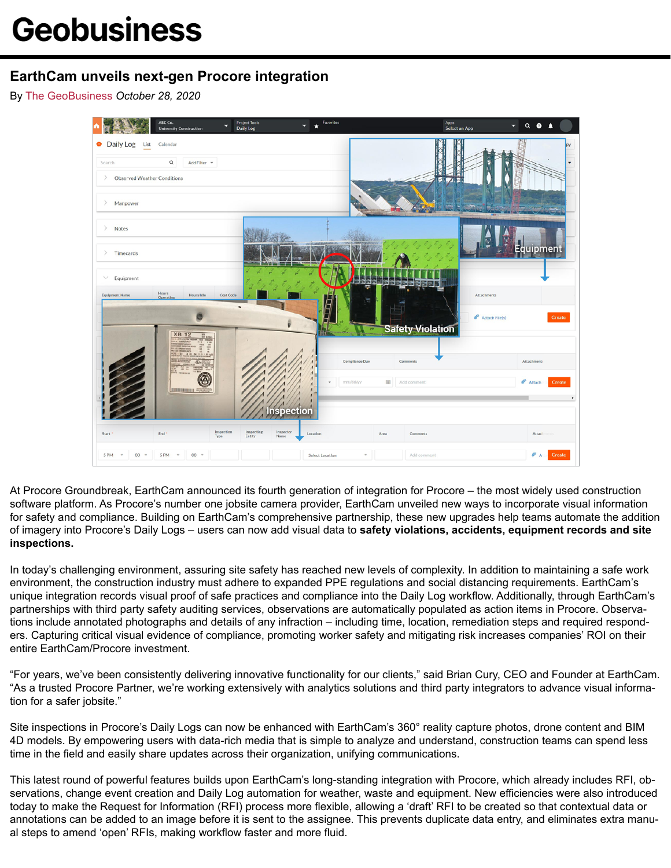## **EarthCam unveils next-gen Procore integration**

By [The GeoBusiness](http://thegeobusiness.com/author/editorgb/) *October 28, 2020*



At Procore Groundbreak, EarthCam announced its fourth generation of integration for Procore – the most widely used construction software platform. As Procore's number one jobsite camera provider, EarthCam unveiled new ways to incorporate visual information for safety and compliance. Building on EarthCam's comprehensive partnership, these new upgrades help teams automate the addition of imagery into Procore's Daily Logs – users can now add visual data to **safety violations, accidents, equipment records and site inspections.**

In today's challenging environment, assuring site safety has reached new levels of complexity. In addition to maintaining a safe work environment, the construction industry must adhere to expanded PPE regulations and social distancing requirements. EarthCam's unique integration records visual proof of safe practices and compliance into the Daily Log workflow. Additionally, through EarthCam's partnerships with third party safety auditing services, observations are automatically populated as action items in Procore. Observations include annotated photographs and details of any infraction – including time, location, remediation steps and required responders. Capturing critical visual evidence of compliance, promoting worker safety and mitigating risk increases companies' ROI on their entire EarthCam/Procore investment.

"For years, we've been consistently delivering innovative functionality for our clients," said Brian Cury, CEO and Founder at EarthCam. "As a trusted Procore Partner, we're working extensively with analytics solutions and third party integrators to advance visual information for a safer jobsite."

Site inspections in Procore's Daily Logs can now be enhanced with EarthCam's 360° reality capture photos, drone content and BIM 4D models. By empowering users with data-rich media that is simple to analyze and understand, construction teams can spend less time in the field and easily share updates across their organization, unifying communications.

This latest round of powerful features builds upon EarthCam's long-standing integration with Procore, which already includes RFI, observations, change event creation and Daily Log automation for weather, waste and equipment. New efficiencies were also introduced today to make the Request for Information (RFI) process more flexible, allowing a 'draft' RFI to be created so that contextual data or annotations can be added to an image before it is sent to the assignee. This prevents duplicate data entry, and eliminates extra manual steps to amend 'open' RFIs, making workflow faster and more fluid.